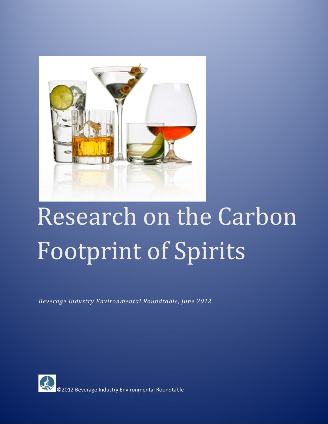

# Research on the Carbon Footprint of Spirits

*Beverage Industry Environmental Roundtable, June 2012*

<span id="page-0-0"></span>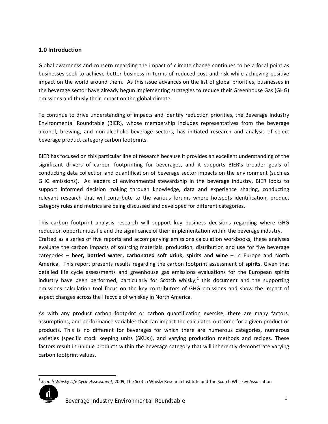### **1.0 Introduction**

Global awareness and concern regarding the impact of climate change continues to be a focal point as businesses seek to achieve better business in terms of reduced cost and risk while achieving positive impact on the world around them. As this issue advances on the list of global priorities, businesses in the beverage sector have already begun implementing strategies to reduce their Greenhouse Gas (GHG) emissions and thusly their impact on the global climate.

To continue to drive understanding of impacts and identify reduction priorities, the Beverage Industry Environmental Roundtable (BIER), whose membership includes representatives from the beverage alcohol, brewing, and non-alcoholic beverage sectors, has initiated research and analysis of select beverage product category carbon footprints.

BIER has focused on this particular line of research because it provides an excellent understanding of the significant drivers of carbon footprinting for beverages, and it supports BIER's broader goals of conducting data collection and quantification of beverage sector impacts on the environment (such as GHG emissions). As leaders of environmental stewardship in the beverage industry, BIER looks to support informed decision making through knowledge, data and experience sharing, conducting relevant research that will contribute to the various forums where hotspots identification, product category rules and metrics are being discussed and developed for different categories.

This carbon footprint analysis research will support key business decisions regarding where GHG reduction opportunities lie and the significance of their implementation within the beverage industry. Crafted as a series of five reports and accompanying emissions calculation workbooks, these analyses evaluate the carbon impacts of sourcing materials, production, distribution and use for five beverage categories – **beer, bottled water, carbonated soft drink, spirits** and **wine** – in Europe and North America. This report presents results regarding the carbon footprint assessment of **spirits**. Given that detailed life cycle assessments and greenhouse gas emissions evaluations for the European spirits industry have been performed, particularly for Scotch whisky,<sup>[1](#page-0-0)</sup> this document and the supporting emissions calculation tool focus on the key contributors of GHG emissions and show the impact of aspect changes across the lifecycle of whiskey in North America.

As with any product carbon footprint or carbon quantification exercise, there are many factors, assumptions, and performance variables that can impact the calculated outcome for a given product or products. This is no different for beverages for which there are numerous categories, numerous varieties (specific stock keeping units (SKUs)), and varying production methods and recipes. These factors result in unique products within the beverage category that will inherently demonstrate varying carbon footprint values.

<span id="page-1-0"></span> <sup>1</sup> *Scotch Whisky Life Cycle Assessment*, 2009, The Scotch Whisky Research Institute and The Scotch Whiskey Association

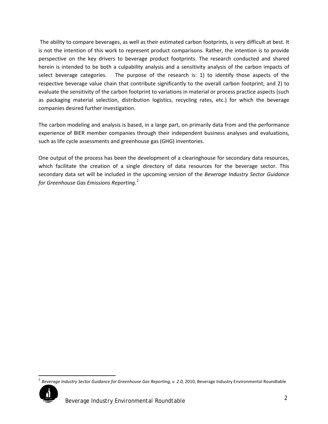The ability to compare beverages, as well as their estimated carbon footprints, is very difficult at best. It is not the intention of this work to represent product comparisons. Rather, the intention is to provide perspective on the key drivers to beverage product footprints. The research conducted and shared herein is intended to be both a culpability analysis and a sensitivity analysis of the carbon impacts of select beverage categories. The purpose of the research is: 1) to identify those aspects of the respective beverage value chain that contribute significantly to the overall carbon footprint; and 2) to evaluate the sensitivity of the carbon footprint to variations in material or process practice aspects (such as packaging material selection, distribution logistics, recycling rates, etc.) for which the beverage companies desired further investigation.

The carbon modeling and analysis is based, in a large part, on primarily data from and the performance experience of BIER member companies through their independent business analyses and evaluations, such as life cycle assessments and greenhouse gas (GHG) inventories.

One output of the process has been the development of a clearinghouse for secondary data resources, which facilitate the creation of a single directory of data resources for the beverage sector. This secondary data set will be included in the upcoming version of the *Beverage Industry Sector Guidance for Greenhouse Gas Emissions Reporting*. [2](#page-1-0)

<span id="page-2-0"></span> <sup>2</sup> *Beverage Industry Sector Guidance for Greenhouse Gas Reporting, v. 2.0*, 2010, Beverage Industry Environmental Roundtable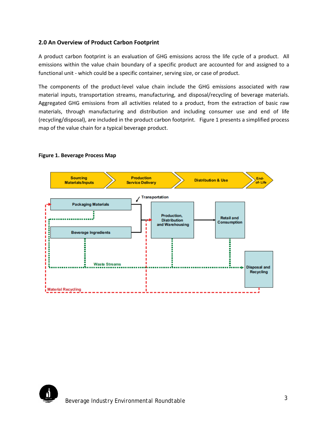#### **2.0 An Overview of Product Carbon Footprint**

A product carbon footprint is an evaluation of GHG emissions across the life cycle of a product. All emissions within the value chain boundary of a specific product are accounted for and assigned to a functional unit - which could be a specific container, serving size, or case of product.

The components of the product-level value chain include the GHG emissions associated with raw material inputs, transportation streams, manufacturing, and disposal/recycling of beverage materials. Aggregated GHG emissions from all activities related to a product, from the extraction of basic raw materials, through manufacturing and distribution and including consumer use and end of life (recycling/disposal), are included in the product carbon footprint. Figure 1 presents a simplified process map of the value chain for a typical beverage product.



#### **Figure 1. Beverage Process Map**

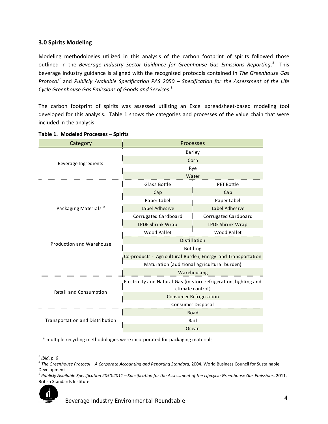#### **3.0 Spirits Modeling**

Modeling methodologies utilized in this analysis of the carbon footprint of spirits followed those outlined in the *Beverage Industry Sector Guidance for Greenhouse Gas Emissions Reporting*. [3](#page-2-0) This beverage industry guidance is aligned with the recognized protocols contained in *The Greenhouse Gas Protocol[4](#page-4-0)* and *Publicly Available Specification PAS 2050 – Specification for the Assessment of the Life Cycle Greenhouse Gas Emissions of Goods and Services*. [5](#page-4-1)

The carbon footprint of spirits was assessed utilizing an Excel spreadsheet-based modeling tool developed for this analysis. Table 1 shows the categories and processes of the value chain that were included in the analysis.

| Category                         | Processes                                                                             |                                             |  |  |  |
|----------------------------------|---------------------------------------------------------------------------------------|---------------------------------------------|--|--|--|
|                                  | Barley                                                                                |                                             |  |  |  |
| Beverage Ingredients             |                                                                                       | Corn                                        |  |  |  |
|                                  |                                                                                       | Rye                                         |  |  |  |
|                                  |                                                                                       | Water                                       |  |  |  |
|                                  | Glass Bottle                                                                          | <b>PET Bottle</b>                           |  |  |  |
|                                  | Cap                                                                                   | Cap                                         |  |  |  |
|                                  | Paper Label                                                                           | Paper Label                                 |  |  |  |
| Packaging Materials <sup>a</sup> | Label Adhesive                                                                        | Label Adhesive                              |  |  |  |
|                                  | Corrugated Cardboard                                                                  | Corrugated Cardboard                        |  |  |  |
|                                  | <b>LPDE Shrink Wrap</b>                                                               | <b>LPDE Shrink Wrap</b>                     |  |  |  |
|                                  | Wood Pallet                                                                           | Wood Pallet                                 |  |  |  |
| Production and Warehouse         | Distillation                                                                          |                                             |  |  |  |
|                                  | Bottling                                                                              |                                             |  |  |  |
|                                  | Co-products - Agricultural Burden, Energy and Transportation                          |                                             |  |  |  |
|                                  |                                                                                       | Maturation (additional agricultural burden) |  |  |  |
|                                  |                                                                                       | Warehousing                                 |  |  |  |
|                                  | Electricity and Natural Gas (in-store refrigeration, lighting and<br>climate control) |                                             |  |  |  |
| Retail and Consumption           | Consumer Refrigeration                                                                |                                             |  |  |  |
|                                  | Consumer Disposal                                                                     |                                             |  |  |  |
|                                  | Road                                                                                  |                                             |  |  |  |
| Transportation and Distribution  | Rail                                                                                  |                                             |  |  |  |
|                                  | Ocean                                                                                 |                                             |  |  |  |

#### **Table 1. Modeled Processes – Spirits**

\* multiple recycling methodologies were incorporated for packaging materials

<span id="page-4-0"></span><sup>&</sup>lt;sup>3</sup> *Ibid*, p. 6<br><sup>4</sup> The Greenhouse Protocol – A Corporate Accounting and Reporting Standard, 2004, World Business Council for Sustainable Development

<span id="page-4-1"></span><sup>5</sup> *Publicly Available Specification 2050:2011 – Specification for the Assessment of the Lifecycle Greenhouse Gas Emissions*, 2011, British Standards Institute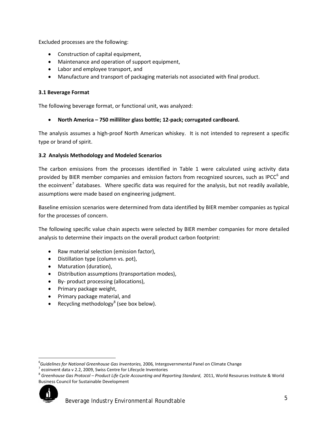Excluded processes are the following:

- Construction of capital equipment,
- Maintenance and operation of support equipment,
- Labor and employee transport, and
- Manufacture and transport of packaging materials not associated with final product.

#### **3.1 Beverage Format**

The following beverage format, or functional unit, was analyzed:

• **North America – 750 milliliter glass bottle; 12-pack; corrugated cardboard.**

The analysis assumes a high-proof North American whiskey. It is not intended to represent a specific type or brand of spirit.

#### **3.2 Analysis Methodology and Modeled Scenarios**

The carbon emissions from the processes identified in Table 1 were calculated using activity data provided by BIER member companies and emission factors from recognized sources, such as IPCC<sup>[6](#page-4-0)</sup> and the ecoinvent<sup>[7](#page-5-0)</sup> databases. Where specific data was required for the analysis, but not readily available, assumptions were made based on engineering judgment.

Baseline emission scenarios were determined from data identified by BIER member companies as typical for the processes of concern.

The following specific value chain aspects were selected by BIER member companies for more detailed analysis to determine their impacts on the overall product carbon footprint:

- Raw material selection (emission factor),
- Distillation type (column vs. pot),
- Maturation (duration),
- Distribution assumptions (transportation modes),
- By- product processing (allocations),
- Primary package weight,
- Primary package material, and
- Recycling methodology<sup>[8](#page-5-1)</sup> (see box below).

<span id="page-5-1"></span><span id="page-5-0"></span><sup>8</sup> *Greenhouse Gas Protocol – Product Life Cycle Accounting and Reporting Standard*, 2011, World Resources Institute & World Business Council for Sustainable Development



<span id="page-5-2"></span><sup>—&</sup>lt;br>6 <sup>6</sup>Guidelines for National Greenhouse Gas Inventories, 2006, Intergovernmental Panel on Climate Change<br><sup>7</sup> ecoinvent data v 2.2, 2009, Swiss Centre for Lifecycle Inventories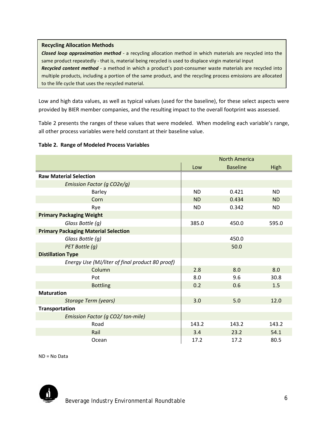#### **Recycling Allocation Methods**

*Closed loop approximation method* - a recycling allocation method in which materials are recycled into the same product repeatedly - that is, material being recycled is used to displace virgin material input *Recycled content method* - a method in which a product's post-consumer waste materials are recycled into multiple products, including a portion of the same product, and the recycling process emissions are allocated to the life cycle that uses the recycled material.

Low and high data values, as well as typical values (used for the baseline), for these select aspects were provided by BIER member companies, and the resulting impact to the overall footprint was assessed.

Table 2 presents the ranges of these values that were modeled.When modeling each variable's range, all other process variables were held constant at their baseline value.

#### **Table 2. Range of Modeled Process Variables**

|                                                 |           | <b>North America</b> |           |
|-------------------------------------------------|-----------|----------------------|-----------|
|                                                 | Low       | <b>Baseline</b>      | High      |
| <b>Raw Material Selection</b>                   |           |                      |           |
| Emission Factor (g CO2e/g)                      |           |                      |           |
| Barley                                          | <b>ND</b> | 0.421                | <b>ND</b> |
| Corn                                            | <b>ND</b> | 0.434                | <b>ND</b> |
| Rye                                             | <b>ND</b> | 0.342                | <b>ND</b> |
| <b>Primary Packaging Weight</b>                 |           |                      |           |
| Glass Bottle (g)                                | 385.0     | 450.0                | 595.0     |
| <b>Primary Packaging Material Selection</b>     |           |                      |           |
| Glass Bottle (g)                                |           | 450.0                |           |
| PET Bottle (g)                                  |           | 50.0                 |           |
| <b>Distillation Type</b>                        |           |                      |           |
| Energy Use (MJ/liter of final product 80 proof) |           |                      |           |
| Column                                          | 2.8       | 8.0                  | 8.0       |
| Pot                                             | 8.0       | 9.6                  | 30.8      |
| <b>Bottling</b>                                 | 0.2       | 0.6                  | 1.5       |
| <b>Maturation</b>                               |           |                      |           |
| Storage Term (years)                            | 3.0       | 5.0                  | 12.0      |
| <b>Transportation</b>                           |           |                      |           |
| Emission Factor (g CO2/ton-mile)                |           |                      |           |
| Road                                            | 143.2     | 143.2                | 143.2     |
| Rail                                            | 3.4       | 23.2                 | 54.1      |
| Ocean                                           | 17.2      | 17.2                 | 80.5      |

ND = No Data

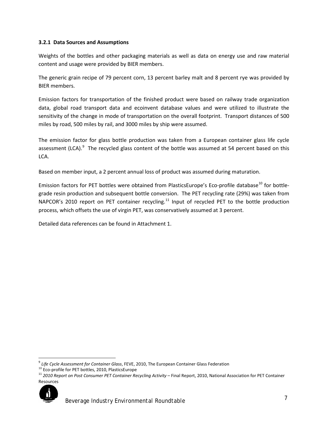#### **3.2.1 Data Sources and Assumptions**

Weights of the bottles and other packaging materials as well as data on energy use and raw material content and usage were provided by BIER members.

The generic grain recipe of 79 percent corn, 13 percent barley malt and 8 percent rye was provided by BIER members.

Emission factors for transportation of the finished product were based on railway trade organization data, global road transport data and ecoinvent database values and were utilized to illustrate the sensitivity of the change in mode of transportation on the overall footprint. Transport distances of 500 miles by road, 500 miles by rail, and 3000 miles by ship were assumed.

The emission factor for glass bottle production was taken from a European container glass life cycle assessment (LCA).<sup>[9](#page-5-2)</sup> The recycled glass content of the bottle was assumed at 54 percent based on this LCA.

Based on member input, a 2 percent annual loss of product was assumed during maturation.

Emission factors for PET bottles were obtained from PlasticsEurope's Eco-profile database<sup>[10](#page-7-0)</sup> for bottlegrade resin production and subsequent bottle conversion. The PET recycling rate (29%) was taken from NAPCOR's 2010 report on PET container recycling.<sup>[11](#page-7-1)</sup> Input of recycled PET to the bottle production process, which offsets the use of virgin PET, was conservatively assumed at 3 percent.

Detailed data references can be found in Attachment 1.

<span id="page-7-2"></span><span id="page-7-1"></span><sup>&</sup>lt;sup>11</sup> 2010 Report on Post Consumer PET Container Recycling Activity – Final Report, 2010, National Association for PET Container Resources



<sup>&</sup>lt;sup>9</sup> Life Cycle Assessment for Container Glass, FEVE, 2010, The European Container Glass Federation<br><sup>10</sup> Eco-profile for PET bottles, 2010, PlasticsEurope

<span id="page-7-0"></span>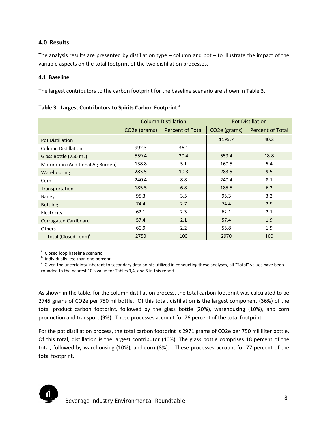#### **4.0 Results**

The analysis results are presented by distillation type  $-$  column and pot  $-$  to illustrate the impact of the variable aspects on the total footprint of the two distillation processes.

#### **4.1 Baseline**

The largest contributors to the carbon footprint for the baseline scenario are shown in Table 3.

|                                   |                                                      | <b>Column Distillation</b> |                           | <b>Pot Distillation</b> |
|-----------------------------------|------------------------------------------------------|----------------------------|---------------------------|-------------------------|
|                                   | CO <sub>2</sub> e (grams)<br><b>Percent of Total</b> |                            | CO <sub>2</sub> e (grams) | Percent of Total        |
| <b>Pot Distillation</b>           |                                                      |                            | 1195.7                    | 40.3                    |
| Column Distillation               | 992.3                                                | 36.1                       |                           |                         |
| Glass Bottle (750 mL)             | 559.4                                                | 20.4                       | 559.4                     | 18.8                    |
| Maturation (Additional Ag Burden) | 138.8                                                | 5.1                        | 160.5                     | 5.4                     |
| Warehousing                       | 283.5                                                | 10.3                       | 283.5                     | 9.5                     |
| Corn                              | 240.4                                                | 8.8                        | 240.4                     | 8.1                     |
| Transportation                    | 185.5                                                | 6.8                        | 185.5                     | 6.2                     |
| Barley                            | 95.3                                                 | 3.5                        | 95.3                      | 3.2                     |
| <b>Bottling</b>                   | 74.4                                                 | 2.7                        | 74.4                      | 2.5                     |
| Electricity                       | 62.1                                                 | 2.3                        | 62.1                      | 2.1                     |
| <b>Corrugated Cardboard</b>       | 57.4                                                 | 2.1                        | 57.4                      | 1.9                     |
| <b>Others</b>                     | 60.9                                                 | 2.2                        | 55.8                      | 1.9                     |
| Total (Closed Loop) <sup>c</sup>  | 2750                                                 | 100                        | 2970                      | 100                     |

**Table 3. Largest Contributors to Spirits Carbon Footprint <sup>a</sup>**

<sup>a</sup> Closed loop baseline scenario

 $<sup>b</sup>$  Individually less than one percent</sup>

 $\degree$  Given the uncertainty inherent to secondary data points utilized in conducting these analyses, all "Total" values have been rounded to the nearest 10's value for Tables 3,4, and 5 in this report.

As shown in the table, for the column distillation process, the total carbon footprint was calculated to be 2745 grams of CO2e per 750 ml bottle. Of this total, distillation is the largest component (36%) of the total product carbon footprint, followed by the glass bottle (20%), warehousing (10%), and corn production and transport (9%). These processes account for 76 percent of the total footprint.

For the pot distillation process, the total carbon footprint is 2971 grams of CO2e per 750 milliliter bottle. Of this total, distillation is the largest contributor (40%). The glass bottle comprises 18 percent of the total, followed by warehousing (10%), and corn (8%). These processes account for 77 percent of the total footprint.

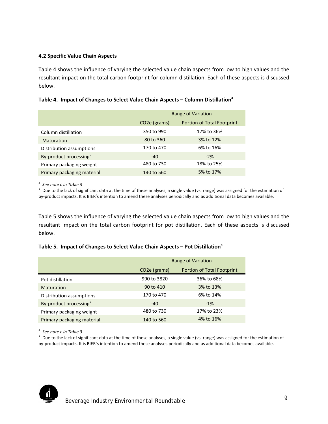#### **4.2 Specific Value Chain Aspects**

Table 4 shows the influence of varying the selected value chain aspects from low to high values and the resultant impact on the total carbon footprint for column distillation. Each of these aspects is discussed below.

#### **Table 4. Impact of Changes to Select Value Chain Aspects – Column Distillationa**

|                            | Range of Variation        |                                   |  |  |  |
|----------------------------|---------------------------|-----------------------------------|--|--|--|
|                            | CO <sub>2</sub> e (grams) | <b>Portion of Total Footprint</b> |  |  |  |
| Column distillation        | 350 to 990                | 17% to 36%                        |  |  |  |
| <b>Maturation</b>          | 80 to 360                 | 3% to 12%                         |  |  |  |
| Distribution assumptions   | 170 to 470                | 6% to 16%                         |  |  |  |
| By-product processingb     | $-40$                     | $-2\%$                            |  |  |  |
| Primary packaging weight   | 480 to 730                | 18% to 25%                        |  |  |  |
| Primary packaging material | 140 to 560                | 5% to 17%                         |  |  |  |

<sup>a</sup> See note c in Table 3<br><sup>b</sup> Dua to the lask of sig

**Due to the lack of significant data at the time of these analyses, a single value (vs. range) was assigned for the estimation of** by-product impacts. It is BIER's intention to amend these analyses periodically and as additional data becomes available.

Table 5 shows the influence of varying the selected value chain aspects from low to high values and the resultant impact on the total carbon footprint for pot distillation. Each of these aspects is discussed below.

#### Table 5. Impact of Changes to Select Value Chain Aspects – Pot Distillation<sup>a</sup>

|                            |                           | Range of Variation                |  |  |  |  |
|----------------------------|---------------------------|-----------------------------------|--|--|--|--|
|                            | CO <sub>2</sub> e (grams) | <b>Portion of Total Footprint</b> |  |  |  |  |
| Pot distillation           | 990 to 3820               | 36% to 68%                        |  |  |  |  |
| <b>Maturation</b>          | 90 to 410                 | 3% to 13%                         |  |  |  |  |
| Distribution assumptions   | 170 to 470                | 6% to 14%                         |  |  |  |  |
| By-product processingb     | $-40$                     | $-1\%$                            |  |  |  |  |
| Primary packaging weight   | 480 to 730                | 17% to 23%                        |  |  |  |  |
| Primary packaging material | 140 to 560                | 4% to 16%                         |  |  |  |  |

<sup>a</sup> See note c in Table 3<br><sup>b</sup> Dua to the lask of sig

<sup>b</sup> Due to the lack of significant data at the time of these analyses, a single value (vs. range) was assigned for the estimation of by-product impacts. It is BIER's intention to amend these analyses periodically and as additional data becomes available.

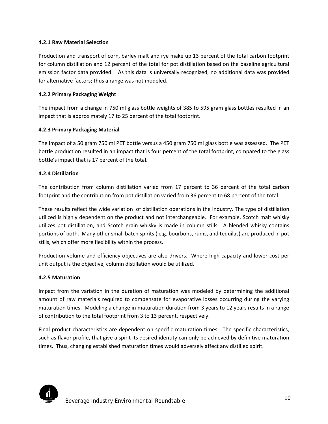#### **4.2.1 Raw Material Selection**

Production and transport of corn, barley malt and rye make up 13 percent of the total carbon footprint for column distillation and 12 percent of the total for pot distillation based on the baseline agricultural emission factor data provided. As this data is universally recognized, no additional data was provided for alternative factors; thus a range was not modeled.

#### **4.2.2 Primary Packaging Weight**

The impact from a change in 750 ml glass bottle weights of 385 to 595 gram glass bottles resulted in an impact that is approximately 17 to 25 percent of the total footprint.

#### **4.2.3 Primary Packaging Material**

The impact of a 50 gram 750 ml PET bottle versus a 450 gram 750 ml glass bottle was assessed. The PET bottle production resulted in an impact that is four percent of the total footprint, compared to the glass bottle's impact that is 17 percent of the total.

#### **4.2.4 Distillation**

The contribution from column distillation varied from 17 percent to 36 percent of the total carbon footprint and the contribution from pot distillation varied from 36 percent to 68 percent of the total.

These results reflect the wide variation of distillation operations in the industry. The type of distillation utilized is highly dependent on the product and not interchangeable. For example, Scotch malt whisky utilizes pot distillation, and Scotch grain whisky is made in column stills. A blended whisky contains portions of both. Many other small batch spirits ( e.g. bourbons, rums, and tequilas) are produced in pot stills, which offer more flexibility within the process.

Production volume and efficiency objectives are also drivers. Where high capacity and lower cost per unit output is the objective, column distillation would be utilized.

#### **4.2.5 Maturation**

Impact from the variation in the duration of maturation was modeled by determining the additional amount of raw materials required to compensate for evaporative losses occurring during the varying maturation times. Modeling a change in maturation duration from 3 years to 12 years results in a range of contribution to the total footprint from 3 to 13 percent, respectively.

Final product characteristics are dependent on specific maturation times. The specific characteristics, such as flavor profile, that give a spirit its desired identity can only be achieved by definitive maturation times. Thus, changing established maturation times would adversely affect any distilled spirit.

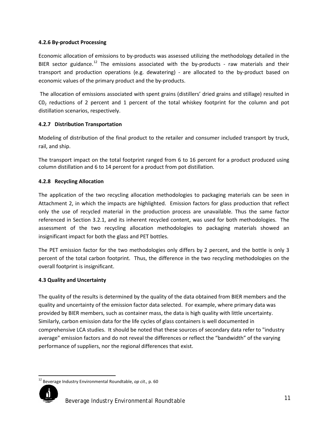#### **4.2.6 By-product Processing**

Economic allocation of emissions to by-products was assessed utilizing the methodology detailed in the BIER sector guidance.<sup>[12](#page-7-2)</sup> The emissions associated with the by-products - raw materials and their transport and production operations (e.g. dewatering) - are allocated to the by-product based on economic values of the primary product and the by-products.

The allocation of emissions associated with spent grains (distillers' dried grains and stillage) resulted in  $CO<sub>2</sub>$  reductions of 2 percent and 1 percent of the total whiskey footprint for the column and pot distillation scenarios, respectively.

#### **4.2.7 Distribution Transportation**

Modeling of distribution of the final product to the retailer and consumer included transport by truck, rail, and ship.

The transport impact on the total footprint ranged from 6 to 16 percent for a product produced using column distillation and 6 to 14 percent for a product from pot distillation.

#### **4.2.8 Recycling Allocation**

The application of the two recycling allocation methodologies to packaging materials can be seen in Attachment 2, in which the impacts are highlighted. Emission factors for glass production that reflect only the use of recycled material in the production process are unavailable. Thus the same factor referenced in Section 3.2.1, and its inherent recycled content, was used for both methodologies. The assessment of the two recycling allocation methodologies to packaging materials showed an insignificant impact for both the glass and PET bottles.

The PET emission factor for the two methodologies only differs by 2 percent, and the bottle is only 3 percent of the total carbon footprint. Thus, the difference in the two recycling methodologies on the overall footprint is insignificant.

# **4.3 Quality and Uncertainty**

The quality of the results is determined by the quality of the data obtained from BIER members and the quality and uncertainty of the emission factor data selected. For example, where primary data was provided by BIER members, such as container mass, the data is high quality with little uncertainty. Similarly, carbon emission data for the life cycles of glass containers is well documented in comprehensive LCA studies. It should be noted that these sources of secondary data refer to "industry average" emission factors and do not reveal the differences or reflect the "bandwidth" of the varying performance of suppliers, nor the regional differences that exist.

<span id="page-11-0"></span> <sup>12</sup> Beverage Industry Environmental Roundtable, *op cit.,* p. 60

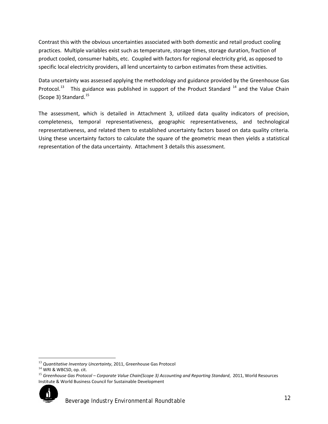Contrast this with the obvious uncertainties associated with both domestic and retail product cooling practices. Multiple variables exist such as temperature, storage times, storage duration, fraction of product cooled, consumer habits, etc. Coupled with factors for regional electricity grid, as opposed to specific local electricity providers, all lend uncertainty to carbon estimates from these activities.

Data uncertainty was assessed applying the methodology and guidance provided by the Greenhouse Gas Protocol.<sup>[13](#page-11-0)</sup> This guidance was published in support of the Product Standard <sup>[14](#page-12-0)</sup> and the Value Chain (Scope 3) Standard.<sup>15</sup>

The assessment, which is detailed in Attachment 3, utilized data quality indicators of precision, completeness, temporal representativeness, geographic representativeness, and technological representativeness, and related them to established uncertainty factors based on data quality criteria. Using these uncertainty factors to calculate the square of the geometric mean then yields a statistical representation of the data uncertainty. Attachment 3 details this assessment.

 $\overline{\phantom{a}}$ 

<span id="page-12-2"></span><span id="page-12-1"></span><sup>15</sup> *Greenhouse Gas Protocol – Corporate Value Chain(Scope 3) Accounting and Reporting Standard*, 2011, World Resources Institute & World Business Council for Sustainable Development



<sup>13</sup> *Quantitative Inventory Uncertainty*, 2011, Greenhouse Gas Protocol

<span id="page-12-0"></span><sup>&</sup>lt;sup>14</sup> WRI & WBCSD, op. cit.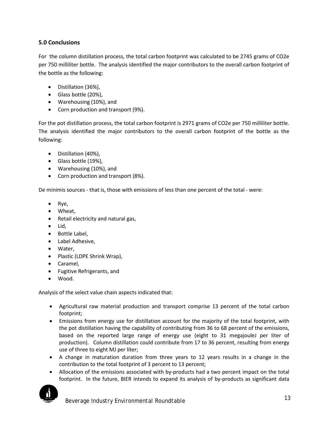# **5.0 Conclusions**

For the column distillation process, the total carbon footprint was calculated to be 2745 grams of CO2e per 750 milliliter bottle. The analysis identified the major contributors to the overall carbon footprint of the bottle as the following:

- Distillation (36%),
- Glass bottle (20%),
- Warehousing (10%), and
- Corn production and transport (9%).

For the pot distillation process, the total carbon footprint is 2971 grams of CO2e per 750 milliliter bottle. The analysis identified the major contributors to the overall carbon footprint of the bottle as the following:

- Distillation (40%),
- Glass bottle (19%),
- Warehousing (10%), and
- Corn production and transport (8%).

De minimis sources - that is, those with emissions of less than one percent of the total - were:

- Rye,
- Wheat,
- Retail electricity and natural gas,
- Lid,
- Bottle Label,
- Label Adhesive,
- Water,
- Plastic (LDPE Shrink Wrap),
- Caramel,
- Fugitive Refrigerants, and
- Wood.

Analysis of the select value chain aspects indicated that:

- Agricultural raw material production and transport comprise 13 percent of the total carbon footprint;
- Emissions from energy use for distillation account for the majority of the total footprint, with the pot distillation having the capability of contributing from 36 to 68 percent of the emissions, based on the reported large range of energy use (eight to 31 megajouleJ per liter of production). Column distillation could contribute from 17 to 36 percent, resulting from energy use of three to eight MJ per liter;
- A change in maturation duration from three years to 12 years results in a change in the contribution to the total footprint of 3 percent to 13 percent;
- Allocation of the emissions associated with by-products had a two percent impact on the total footprint. In the future, BIER intends to expand its analysis of by-products as significant data

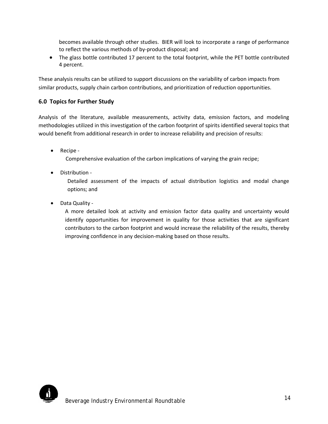becomes available through other studies. BIER will look to incorporate a range of performance to reflect the various methods of by-product disposal; and

• The glass bottle contributed 17 percent to the total footprint, while the PET bottle contributed 4 percent.

These analysis results can be utilized to support discussions on the variability of carbon impacts from similar products, supply chain carbon contributions, and prioritization of reduction opportunities.

# **6.0 Topics for Further Study**

Analysis of the literature, available measurements, activity data, emission factors, and modeling methodologies utilized in this investigation of the carbon footprint of spirits identified several topics that would benefit from additional research in order to increase reliability and precision of results:

• Recipe -

Comprehensive evaluation of the carbon implications of varying the grain recipe;

• Distribution -

Detailed assessment of the impacts of actual distribution logistics and modal change options; and

• Data Quality -

A more detailed look at activity and emission factor data quality and uncertainty would identify opportunities for improvement in quality for those activities that are significant contributors to the carbon footprint and would increase the reliability of the results, thereby improving confidence in any decision-making based on those results.

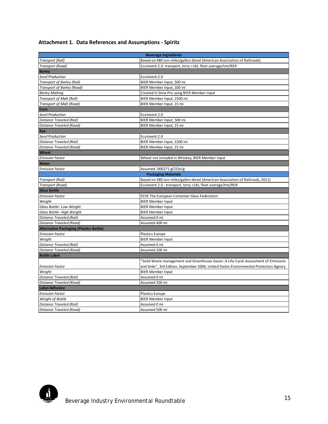# **Attachment 1. Data References and Assumptions - Spirits**

| <b>Beverage Ingredients</b>                                                                  |                                                                                        |  |  |  |  |
|----------------------------------------------------------------------------------------------|----------------------------------------------------------------------------------------|--|--|--|--|
| Transport (Rail)<br>Based on 480 ton-miles/gallon diesel (American Association of Railroads) |                                                                                        |  |  |  |  |
| Transport (Road)                                                                             | Ecoinvent 2.0: transport, lorry >16t, fleet average/tmi/RER                            |  |  |  |  |
| <b>Barley</b>                                                                                |                                                                                        |  |  |  |  |
| <b>Seed Production</b>                                                                       | Ecoinvent 2.0                                                                          |  |  |  |  |
| Transport of Barley (Rail)                                                                   | BIER Member Input, 500 mi                                                              |  |  |  |  |
| Transport of Barley (Road)                                                                   | BIER Member Input, 100 mi                                                              |  |  |  |  |
| <b>Barley Malting</b>                                                                        | Created in Sima Pro using BIER Member Input                                            |  |  |  |  |
| Transport of Malt (Rail)                                                                     | BIER Member Input, 1500 mi                                                             |  |  |  |  |
| <b>Transport of Malt (Road)</b>                                                              | BIER Member Input, 15 mi                                                               |  |  |  |  |
| Corn                                                                                         |                                                                                        |  |  |  |  |
| <b>Seed Production</b>                                                                       | Ecoinvent 2.0                                                                          |  |  |  |  |
| Distance Traveled (Rail)                                                                     | BIER Member Input, 500 mi                                                              |  |  |  |  |
| Distance Traveled (Road)                                                                     | BIER Member Input, 15 mi                                                               |  |  |  |  |
| Rye                                                                                          |                                                                                        |  |  |  |  |
| <b>Seed Production</b>                                                                       | Ecoinvent 2.0                                                                          |  |  |  |  |
| Distance Traveled (Rail)                                                                     | BIER Member Input, 1500 mi                                                             |  |  |  |  |
| Distance Traveled (Road)                                                                     | BIER Member Input, 15 mi                                                               |  |  |  |  |
| Wheat                                                                                        |                                                                                        |  |  |  |  |
| <b>Emission Factor</b>                                                                       | Wheat not included in Whiskey, BIER Member Input                                       |  |  |  |  |
| <b>Water</b>                                                                                 |                                                                                        |  |  |  |  |
| <b>Emission Factor</b>                                                                       | Assumed .000271 gCO2e/g                                                                |  |  |  |  |
|                                                                                              | <b>Packaging Materials</b>                                                             |  |  |  |  |
| Transport (Rail)                                                                             | Based on 480 ton-miles/gallon diesel (American Association of Railroads, 2011)         |  |  |  |  |
| Transport (Road)                                                                             | Ecoinvent 2.0 : transport, lorry >16t, fleet average/tmi/RER                           |  |  |  |  |
| <b>Glass Bottle</b>                                                                          |                                                                                        |  |  |  |  |
| <b>Emission Factor</b>                                                                       | FEVE The European Container Glass Federation                                           |  |  |  |  |
| Weight                                                                                       | <b>BIER Member Input</b>                                                               |  |  |  |  |
| Glass Bottle- Low Weight                                                                     | <b>BIER Member Input</b>                                                               |  |  |  |  |
| Glass Bottle- High Weight                                                                    | <b>BIER Member Input</b>                                                               |  |  |  |  |
| Distance Traveled (Rail)                                                                     | Assumed 0 mi                                                                           |  |  |  |  |
| <b>Distance Traveled (Road)</b>                                                              | Assumed 400 mi                                                                         |  |  |  |  |
| <b>Alternative Packaging (Plastics Bottle)</b>                                               |                                                                                        |  |  |  |  |
| <b>Emission Factor</b>                                                                       | Plastics Europe                                                                        |  |  |  |  |
| Weight                                                                                       | <b>BIER Member Input</b>                                                               |  |  |  |  |
| Distance Traveled (Rail)                                                                     | Assumed 0 mi                                                                           |  |  |  |  |
| Distance Traveled (Road)                                                                     | Assumed 200 mi                                                                         |  |  |  |  |
| <b>Bottle Label</b>                                                                          |                                                                                        |  |  |  |  |
|                                                                                              | 'Solid Waste management and Greenhouse Gases: A Life-Cycle Assessment of Emissions     |  |  |  |  |
| <b>Emission Factor</b>                                                                       | and Sinks", 3rd Edition, September 2006, United States Environmental Protection Agency |  |  |  |  |
| Weight                                                                                       | <b>BIER Member Input</b>                                                               |  |  |  |  |
| Distance Traveled (Rail)                                                                     | Assumed 0 mi                                                                           |  |  |  |  |
| Distance Traveled (Road)                                                                     | Assumed 350 mi                                                                         |  |  |  |  |
| <b>Label Adhesive</b>                                                                        |                                                                                        |  |  |  |  |
| <b>Emission Factor</b>                                                                       | <b>Plastics Europe</b>                                                                 |  |  |  |  |
| <b>Weight of Bottle</b>                                                                      | <b>BIER Member Input</b>                                                               |  |  |  |  |
| Distance Traveled (Rail)                                                                     | Assumed 0 mi                                                                           |  |  |  |  |
| Distance Traveled (Road)                                                                     | Assumed 500 mi                                                                         |  |  |  |  |

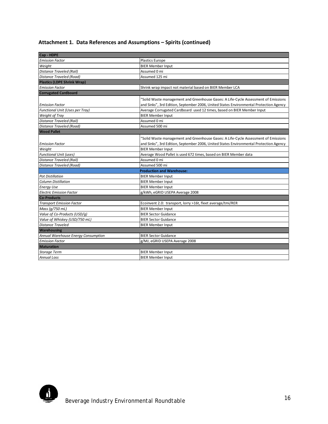# **Attachment 1. Data References and Assumptions – Spirits (continued)**

| Cap - HDPE                          |                                                                                        |
|-------------------------------------|----------------------------------------------------------------------------------------|
| <b>Emission Factor</b>              | Plastics Europe                                                                        |
| Weight                              | <b>BIER Member Input</b>                                                               |
| Distance Traveled (Rail)            | Assumed 0 mi                                                                           |
| Distance Traveled (Road)            | Assumed 125 mi                                                                         |
| <b>Plastics (LDPE Shrink Wrap)</b>  |                                                                                        |
| <b>Emission Factor</b>              | Shrink wrap impact not material based on BIER Member LCA                               |
| <b>Corrugated Cardboard</b>         |                                                                                        |
|                                     | 'Solid Waste management and Greenhouse Gases: A Life-Cycle Assessment of Emissions     |
| <b>Emission Factor</b>              | and Sinks", 3rd Edition, September 2006, United States Environmental Protection Agency |
| Functional Unit (Uses per Tray)     | Average Corrugated Cardboard used 12 times, based on BIER Member Input                 |
| Weight of Tray                      | <b>BIER Member Input</b>                                                               |
| Distance Traveled (Rail)            | Assumed 0 mi                                                                           |
| Distance Traveled (Road)            | Assumed 500 mi                                                                         |
| <b>Wood Pallet</b>                  |                                                                                        |
|                                     | 'Solid Waste management and Greenhouse Gases: A Life-Cycle Assessment of Emissions     |
| <b>Emission Factor</b>              | and Sinks", 3rd Edition, September 2006, United States Environmental Protection Agency |
| Weight                              | <b>BIER Member Input</b>                                                               |
| <b>Functional Unit (uses)</b>       | Average Wood Pallet is used 672 times, based on BIER Member data                       |
| Distance Traveled (Rail)            | Assumed 0 mi                                                                           |
| Distance Traveled (Road)            | Assumed 500 mi                                                                         |
|                                     | <b>Production and Warehouse:</b>                                                       |
| <b>Pot Distillation</b>             | <b>BIER Member Input</b>                                                               |
| <b>Column Distillation</b>          | <b>BIER Member Input</b>                                                               |
| <b>Energy Use</b>                   | <b>BIER Member Input</b>                                                               |
| <b>Electric Emission Factor</b>     | g/kWh, eGRID USEPA Average 2008                                                        |
| <b>Co-Products</b>                  |                                                                                        |
| <b>Transport Emission Factor</b>    | Ecoinvent 2.0: transport, lorry >16t, fleet average/tmi/RER                            |
| Mass (g/750 mL)                     | <b>BIER Member Input</b>                                                               |
| Value of Co-Products (USD/g)        | <b>BIER Sector Guidance</b>                                                            |
| Value of Whiskey (USD/750 mL)       | <b>BIER Sector Guidance</b>                                                            |
| <b>Distance Traveled</b>            | <b>BIER Member Input</b>                                                               |
| <b>Warehousing</b>                  |                                                                                        |
| Annual Warehouse Energy Consumption | <b>BIER Sector Guidance</b>                                                            |
| <b>Emission Factor</b>              | g/MJ, eGRID USEPA Average 2008                                                         |
| <b>Maturation</b>                   |                                                                                        |
| <b>Storage Term</b>                 | <b>BIER Member Input</b>                                                               |
| <b>Annual Loss</b>                  | <b>BIER Member Input</b>                                                               |

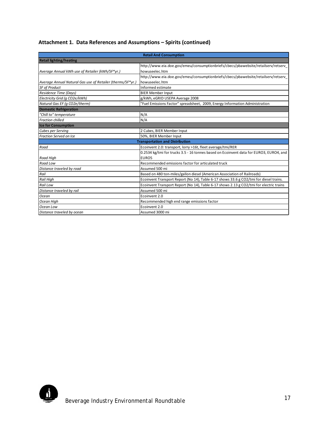# **Attachment 1. Data References and Assumptions – Spirits (continued)**

|                                                            | <b>Retail And Consumption</b>                                                           |
|------------------------------------------------------------|-----------------------------------------------------------------------------------------|
| <b>Retail lighting/heating</b>                             |                                                                                         |
|                                                            | http://www.eia.doe.gov/emeu/consumptionbriefs/cbecs/pbawebsite/retailserv/retserv       |
| Average Annual kWh use of Retailer (kWh/SF*yr.)            | howuseelec.htm                                                                          |
|                                                            | http://www.eia.doe.gov/emeu/consumptionbriefs/cbecs/pbawebsite/retailserv/retserv       |
| Average Annual Natural Gas use of Retailer (therms/SF*yr.) | howuseelec.htm                                                                          |
| <b>SF of Product</b>                                       | Informed estimate                                                                       |
| Residence Time (Days)                                      | <b>BIER Member Input</b>                                                                |
| Electricity Grid (g CO2e/kWh)                              | g/kWh, eGRID USEPA Average 2008                                                         |
| Natural Gas EF (g CO2e/therm)                              | "Fuel Emissions Factor" spreadsheet, 2009, Energy Information Administration            |
| <b>Domestic Refrigeration</b>                              |                                                                                         |
| "Chill to" temperature                                     | N/A                                                                                     |
| <b>Fraction chilled</b>                                    | N/A                                                                                     |
| <b>Ice for Consumption</b>                                 |                                                                                         |
| Cubes per Serving                                          | 2 Cubes, BIER Member Input                                                              |
| <b>Fraction Served on Ice</b>                              | 50%, BIER Member Input                                                                  |
|                                                            | <b>Transportation and Distribution</b>                                                  |
| Road                                                       | Ecoinvent 2.0: transport, lorry >16t, fleet average/tmi/RER                             |
|                                                            | 0.2534 kg/tmi for trucks 3.5 - 16 tonnes based on Ecoinvent data for EURO3, EURO4, and  |
| <b>Road High</b>                                           | EURO <sub>5</sub>                                                                       |
| Road Low                                                   | Recommended emissions factor for articulated truck                                      |
| Distance traveled by road                                  | Assumed 500 mi                                                                          |
| Rail                                                       | Based on 480 ton-miles/gallon diesel (American Association of Railroads)                |
| <b>Rail High</b>                                           | Ecoinvent Transport Report (No 14), Table 6-17 shows 33.6 g CO2/tmi for diesel trains.  |
| Rail Low                                                   | Ecoinvent Transport Report (No 14), Table 6-17 shows 2.13 g CO2/tmi for electric trains |
| Distance traveled by rail                                  | Assumed 500 mi                                                                          |
| Ocean                                                      | Ecoinvent 2.0                                                                           |
| Ocean High                                                 | Recommended high end range emissions factor                                             |
| Ocean Low                                                  | Ecoinvent 2.0                                                                           |
| Distance traveled by ocean                                 | Assumed 3000 mi                                                                         |

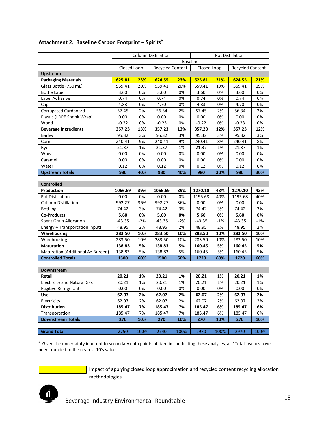|                                    | <b>Column Distillation</b><br>Pot Distillation |                                        |          |       |          |             |          |                         |
|------------------------------------|------------------------------------------------|----------------------------------------|----------|-------|----------|-------------|----------|-------------------------|
|                                    | <b>Baseline</b>                                |                                        |          |       |          |             |          |                         |
|                                    |                                                | Closed Loop<br><b>Recycled Content</b> |          |       |          | Closed Loop |          | <b>Recycled Content</b> |
| <b>Upstream</b>                    |                                                |                                        |          |       |          |             |          |                         |
| <b>Packaging Materials</b>         | 625.81                                         | 23%                                    | 624.55   | 23%   | 625.81   | 21%         | 624.55   | 21%                     |
| Glass Bottle (750 mL)              | 559.41                                         | 20%                                    | 559.41   | 20%   | 559.41   | 19%         | 559.41   | 19%                     |
| <b>Bottle Label</b>                | 3.60                                           | 0%                                     | 3.60     | 0%    | 3.60     | 0%          | 3.60     | 0%                      |
| Label Adhesive                     | 0.74                                           | 0%                                     | 0.74     | 0%    | 0.74     | 0%          | 0.74     | 0%                      |
| Cap                                | 4.83                                           | 0%                                     | 4.70     | 0%    | 4.83     | 0%          | 4.70     | 0%                      |
| <b>Corrugated Cardboard</b>        | 57.45                                          | 2%                                     | 56.34    | 2%    | 57.45    | 2%          | 56.34    | 2%                      |
| Plastic (LDPE Shrink Wrap)         | 0.00                                           | 0%                                     | 0.00     | 0%    | 0.00     | 0%          | 0.00     | 0%                      |
| Wood                               | $-0.22$                                        | 0%                                     | $-0.23$  | 0%    | $-0.22$  | 0%          | $-0.23$  | 0%                      |
| <b>Beverage Ingredients</b>        | 357.23                                         | 13%                                    | 357.23   | 13%   | 357.23   | 12%         | 357.23   | 12%                     |
| Barley                             | 95.32                                          | 3%                                     | 95.32    | 3%    | 95.32    | 3%          | 95.32    | 3%                      |
| Corn                               | 240.41                                         | 9%                                     | 240.41   | 9%    | 240.41   | 8%          | 240.41   | 8%                      |
| Rye                                | 21.37                                          | 1%                                     | 21.37    | 1%    | 21.37    | 1%          | 21.37    | 1%                      |
| Wheat                              | 0.00                                           | 0%                                     | 0.00     | 0%    | 0.00     | 0%          | 0.00     | 0%                      |
| Caramel                            | 0.00                                           | 0%                                     | 0.00     | 0%    | 0.00     | 0%          | 0.00     | 0%                      |
| Water                              | 0.12                                           | 0%                                     | 0.12     | 0%    | 0.12     | 0%          | 0.12     | 0%                      |
| <b>Upstream Totals</b>             | 980                                            | 40%                                    | 980      | 40%   | 980      | 30%         | 980      | 30%                     |
|                                    |                                                |                                        |          |       |          |             |          |                         |
| <b>Controlled</b>                  |                                                |                                        |          |       |          |             |          |                         |
| Production                         | 1066.69                                        | 39%                                    | 1066.69  | 39%   | 1270.10  | 43%         | 1270.10  | 43%                     |
| Pot Distillation                   | 0.00                                           | 0%                                     | 0.00     | 0%    | 1195.68  | 40%         | 1195.68  | 40%                     |
| <b>Column Distillation</b>         | 992.27                                         | 36%                                    | 992.27   | 36%   | 0.00     | 0%          | 0.00     | 0%                      |
| <b>Bottling</b>                    | 74.42                                          | 3%                                     | 74.42    | 3%    | 74.42    | 3%          | 74.42    | 3%                      |
| <b>Co-Products</b>                 | 5.60                                           | 0%                                     | 5.60     | 0%    | 5.60     | 0%          | 5.60     | 0%                      |
| <b>Spent Grain Allocation</b>      | $-43.35$                                       | $-2%$                                  | $-43.35$ | $-2%$ | $-43.35$ | $-1%$       | $-43.35$ | -1%                     |
| Energy + Transportation Inputs     | 48.95                                          | 2%                                     | 48.95    | 2%    | 48.95    | 2%          | 48.95    | 2%                      |
| Warehousing                        | 283.50                                         | 10%                                    | 283.50   | 10%   | 283.50   | 10%         | 283.50   | 10%                     |
| Warehousing                        | 283.50                                         | 10%                                    | 283.50   | 10%   | 283.50   | 10%         | 283.50   | 10%                     |
| <b>Maturation</b>                  | 138.83                                         | 5%                                     | 138.83   | 5%    | 160.45   | 5%          | 160.45   | 5%                      |
| Maturation (Additional Ag Burden)  | 138.83                                         | 5%                                     | 138.83   | 5%    | 160.45   | 5%          | 160.45   | 5%                      |
| <b>Controlled Totals</b>           | 1500                                           | 60%                                    | 1500     | 60%   | 1720     | 60%         | 1720     | 60%                     |
|                                    |                                                |                                        |          |       |          |             |          |                         |
| <b>Downstream</b>                  |                                                |                                        |          |       |          |             |          |                         |
| Retail                             | 20.21                                          | 1%                                     | 20.21    | 1%    | 20.21    | 1%          | 20.21    | 1%                      |
| <b>Electricity and Natural Gas</b> | 20.21                                          | 1%                                     | 20.21    | 1%    | 20.21    | 1%          | 20.21    | 1%                      |
| <b>Fugitive Refrigerants</b>       | 0.00                                           | 0%                                     | 0.00     | 0%    | 0.00     | 0%          | 0.00     | 0%                      |
| <b>Use</b>                         | 62.07                                          | 2%                                     | 62.07    | 2%    | 62.07    | 2%          | 62.07    | 2%                      |
| Electricity                        | 62.07                                          | 2%                                     | 62.07    | 2%    | 62.07    | 2%          | 62.07    | 2%                      |
| <b>Distribution</b>                | 185.47                                         | 7%                                     | 185.47   | 7%    | 185.47   | 6%          | 185.47   | 6%                      |
| Transportation                     | 185.47                                         | 7%                                     | 185.47   | 7%    | 185.47   | 6%          | 185.47   | 6%                      |
| <b>Downstream Totals</b>           | 270                                            | 10%                                    | 270      | 10%   | 270      | 10%         | 270      | 10%                     |
|                                    |                                                |                                        |          |       |          |             |          |                         |
| <b>Grand Total</b>                 | 2750                                           | 100%                                   | 2740     | 100%  | 2970     | 100%        | 2970     | 100%                    |

# **Attachment 2. Baseline Carbon Footprint – Spirits<sup>a</sup>**

<sup>a</sup> Given the uncertainty inherent to secondary data points utilized in conducting these analyses, all "Total" values have been rounded to the nearest 10's value.

> Impact of applying closed loop approximation and recycled content recycling allocation methodologies

 *Beverage Industry Environmental Roundtable* <sup>18</sup>

 $\mathbf{j}$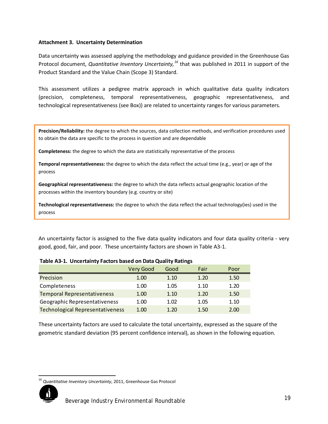#### **Attachment 3. Uncertainty Determination**

Data uncertainty was assessed applying the methodology and guidance provided in the Greenhouse Gas Protocol document, *Quantitative Inventory Uncertainty, [16](#page-12-2)* that was published in 2011 in support of the Product Standard and the Value Chain (Scope 3) Standard.

This assessment utilizes a pedigree matrix approach in which qualitative data quality indicators (precision, completeness, temporal representativeness, geographic representativeness, and technological representativeness (see Box)) are related to uncertainty ranges for various parameters.

**Precision/Reliability:** the degree to which the sources, data collection methods, and verification procedures used to obtain the data are specific to the process in question and are dependable

**Completeness:** the degree to which the data are statistically representative of the process

**Temporal representativeness:** the degree to which the data reflect the actual time (e.g., year) or age of the process

**Geographical representativeness:** the degree to which the data reflects actual geographic location of the processes within the inventory boundary (e.g. country or site)

**Technological representativeness:** the degree to which the data reflect the actual technology(ies) used in the process

An uncertainty factor is assigned to the five data quality indicators and four data quality criteria - very good, good, fair, and poor. These uncertainty factors are shown in Table A3-1.

|                                         | Very Good | Good | Fair | Poor |  |  |  |  |
|-----------------------------------------|-----------|------|------|------|--|--|--|--|
| Precision                               | 1.00      | 1.10 | 1.20 | 1.50 |  |  |  |  |
| Completeness                            | 1.00      | 1.05 | 1.10 | 1.20 |  |  |  |  |
| <b>Temporal Representativeness</b>      | 1.00      | 1.10 | 1.20 | 1.50 |  |  |  |  |
| Geographic Representativeness           | 1.00      | 1.02 | 1.05 | 1.10 |  |  |  |  |
| <b>Technological Representativeness</b> | 1.00      | 1.20 | 1.50 | 2.00 |  |  |  |  |

#### **Table A3-1. Uncertainty Factors based on Data Quality Ratings**

These uncertainty factors are used to calculate the total uncertainty, expressed as the square of the geometric standard deviation (95 percent confidence interval), as shown in the following equation.

 <sup>16</sup> *Quantitative Inventory Uncertainty*, 2011, Greenhouse Gas Protocol